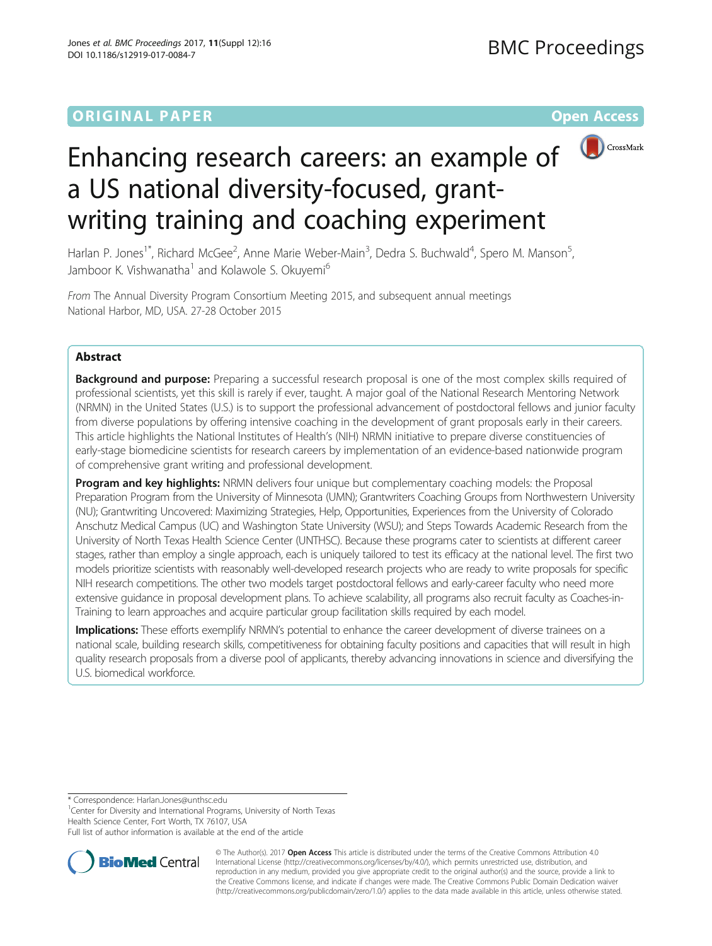# **ORIGINAL PAPER CONSERVATION CONSERVATION CONSERVATION CONSERVATION CONSERVATION CONSERVATION CONSERVATION**



# Enhancing research careers: an example of a US national diversity-focused, grantwriting training and coaching experiment

Harlan P. Jones<sup>1\*</sup>, Richard McGee<sup>2</sup>, Anne Marie Weber-Main<sup>3</sup>, Dedra S. Buchwald<sup>4</sup>, Spero M. Manson<sup>5</sup> , Jamboor K. Vishwanatha<sup>1</sup> and Kolawole S. Okuyemi<sup>6</sup>

From The Annual Diversity Program Consortium Meeting 2015, and subsequent annual meetings National Harbor, MD, USA. 27-28 October 2015

# Abstract

**Background and purpose:** Preparing a successful research proposal is one of the most complex skills required of professional scientists, yet this skill is rarely if ever, taught. A major goal of the National Research Mentoring Network (NRMN) in the United States (U.S.) is to support the professional advancement of postdoctoral fellows and junior faculty from diverse populations by offering intensive coaching in the development of grant proposals early in their careers. This article highlights the National Institutes of Health's (NIH) NRMN initiative to prepare diverse constituencies of early-stage biomedicine scientists for research careers by implementation of an evidence-based nationwide program of comprehensive grant writing and professional development.

Program and key highlights: NRMN delivers four unique but complementary coaching models: the Proposal Preparation Program from the University of Minnesota (UMN); Grantwriters Coaching Groups from Northwestern University (NU); Grantwriting Uncovered: Maximizing Strategies, Help, Opportunities, Experiences from the University of Colorado Anschutz Medical Campus (UC) and Washington State University (WSU); and Steps Towards Academic Research from the University of North Texas Health Science Center (UNTHSC). Because these programs cater to scientists at different career stages, rather than employ a single approach, each is uniquely tailored to test its efficacy at the national level. The first two models prioritize scientists with reasonably well-developed research projects who are ready to write proposals for specific NIH research competitions. The other two models target postdoctoral fellows and early-career faculty who need more extensive guidance in proposal development plans. To achieve scalability, all programs also recruit faculty as Coaches-in-Training to learn approaches and acquire particular group facilitation skills required by each model.

Implications: These efforts exemplify NRMN's potential to enhance the career development of diverse trainees on a national scale, building research skills, competitiveness for obtaining faculty positions and capacities that will result in high quality research proposals from a diverse pool of applicants, thereby advancing innovations in science and diversifying the U.S. biomedical workforce.

\* Correspondence: [Harlan.Jones@unthsc.edu](mailto:Harlan.Jones@unthsc.edu) <sup>1</sup>

<sup>1</sup> Center for Diversity and International Programs, University of North Texas Health Science Center, Fort Worth, TX 76107, USA

Full list of author information is available at the end of the article



© The Author(s). 2017 **Open Access** This article is distributed under the terms of the Creative Commons Attribution 4.0 International License [\(http://creativecommons.org/licenses/by/4.0/](http://creativecommons.org/licenses/by/4.0/)), which permits unrestricted use, distribution, and reproduction in any medium, provided you give appropriate credit to the original author(s) and the source, provide a link to the Creative Commons license, and indicate if changes were made. The Creative Commons Public Domain Dedication waiver [\(http://creativecommons.org/publicdomain/zero/1.0/](http://creativecommons.org/publicdomain/zero/1.0/)) applies to the data made available in this article, unless otherwise stated.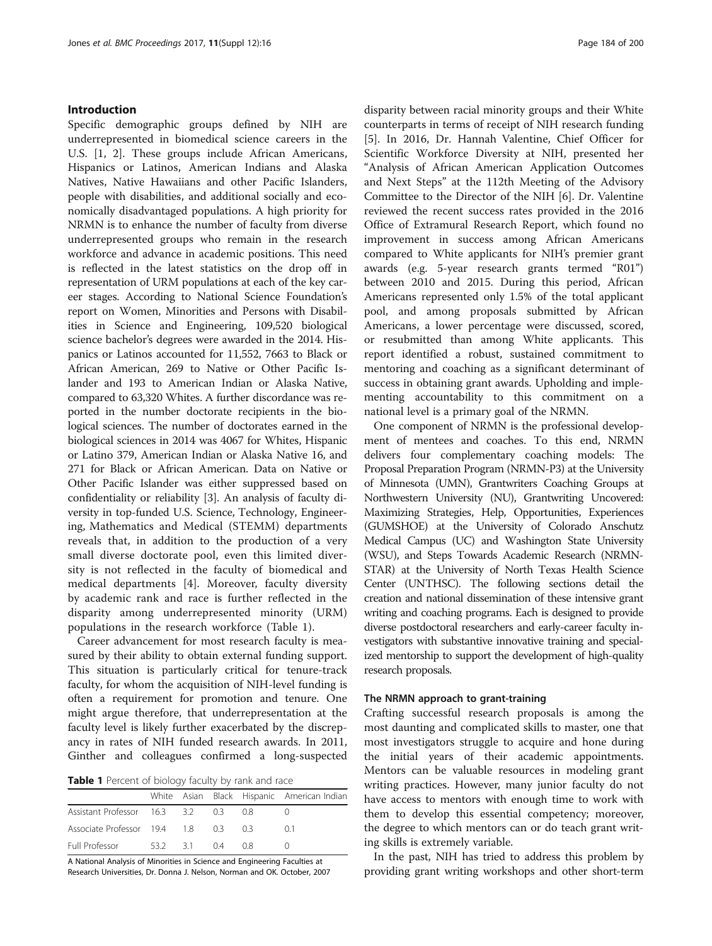## Introduction

Specific demographic groups defined by NIH are underrepresented in biomedical science careers in the U.S. [[1, 2](#page-9-0)]. These groups include African Americans, Hispanics or Latinos, American Indians and Alaska Natives, Native Hawaiians and other Pacific Islanders, people with disabilities, and additional socially and economically disadvantaged populations. A high priority for NRMN is to enhance the number of faculty from diverse underrepresented groups who remain in the research workforce and advance in academic positions. This need is reflected in the latest statistics on the drop off in representation of URM populations at each of the key career stages. According to National Science Foundation's report on Women, Minorities and Persons with Disabilities in Science and Engineering, 109,520 biological science bachelor's degrees were awarded in the 2014. Hispanics or Latinos accounted for 11,552, 7663 to Black or African American, 269 to Native or Other Pacific Islander and 193 to American Indian or Alaska Native, compared to 63,320 Whites. A further discordance was reported in the number doctorate recipients in the biological sciences. The number of doctorates earned in the biological sciences in 2014 was 4067 for Whites, Hispanic or Latino 379, American Indian or Alaska Native 16, and 271 for Black or African American. Data on Native or Other Pacific Islander was either suppressed based on confidentiality or reliability [\[3](#page-9-0)]. An analysis of faculty diversity in top-funded U.S. Science, Technology, Engineering, Mathematics and Medical (STEMM) departments reveals that, in addition to the production of a very small diverse doctorate pool, even this limited diversity is not reflected in the faculty of biomedical and medical departments [[4\]](#page-9-0). Moreover, faculty diversity by academic rank and race is further reflected in the disparity among underrepresented minority (URM) populations in the research workforce (Table 1).

Career advancement for most research faculty is measured by their ability to obtain external funding support. This situation is particularly critical for tenure-track faculty, for whom the acquisition of NIH-level funding is often a requirement for promotion and tenure. One might argue therefore, that underrepresentation at the faculty level is likely further exacerbated by the discrepancy in rates of NIH funded research awards. In 2011, Ginther and colleagues confirmed a long-suspected

Table 1 Percent of biology faculty by rank and race

|                                      |  |  | White Asian Black Hispanic American Indian |
|--------------------------------------|--|--|--------------------------------------------|
| Assistant Professor 16.3 3.2 0.3 0.8 |  |  |                                            |
| Associate Professor 19.4 1.8 0.3 0.3 |  |  | 01                                         |
| Full Professor 53.2 3.1 0.4 0.8      |  |  |                                            |

A National Analysis of Minorities in Science and Engineering Faculties at Research Universities, Dr. Donna J. Nelson, Norman and OK. October, 2007

disparity between racial minority groups and their White counterparts in terms of receipt of NIH research funding [[5\]](#page-9-0). In 2016, Dr. Hannah Valentine, Chief Officer for Scientific Workforce Diversity at NIH, presented her "Analysis of African American Application Outcomes and Next Steps" at the 112th Meeting of the Advisory Committee to the Director of the NIH [[6](#page-9-0)]. Dr. Valentine reviewed the recent success rates provided in the 2016 Office of Extramural Research Report, which found no improvement in success among African Americans compared to White applicants for NIH's premier grant awards (e.g. 5-year research grants termed "R01") between 2010 and 2015. During this period, African Americans represented only 1.5% of the total applicant pool, and among proposals submitted by African Americans, a lower percentage were discussed, scored, or resubmitted than among White applicants. This report identified a robust, sustained commitment to mentoring and coaching as a significant determinant of success in obtaining grant awards. Upholding and implementing accountability to this commitment on a national level is a primary goal of the NRMN.

One component of NRMN is the professional development of mentees and coaches. To this end, NRMN delivers four complementary coaching models: The Proposal Preparation Program (NRMN-P3) at the University of Minnesota (UMN), Grantwriters Coaching Groups at Northwestern University (NU), Grantwriting Uncovered: Maximizing Strategies, Help, Opportunities, Experiences (GUMSHOE) at the University of Colorado Anschutz Medical Campus (UC) and Washington State University (WSU), and Steps Towards Academic Research (NRMN-STAR) at the University of North Texas Health Science Center (UNTHSC). The following sections detail the creation and national dissemination of these intensive grant writing and coaching programs. Each is designed to provide diverse postdoctoral researchers and early-career faculty investigators with substantive innovative training and specialized mentorship to support the development of high-quality research proposals.

#### The NRMN approach to grant-training

Crafting successful research proposals is among the most daunting and complicated skills to master, one that most investigators struggle to acquire and hone during the initial years of their academic appointments. Mentors can be valuable resources in modeling grant writing practices. However, many junior faculty do not have access to mentors with enough time to work with them to develop this essential competency; moreover, the degree to which mentors can or do teach grant writing skills is extremely variable.

In the past, NIH has tried to address this problem by providing grant writing workshops and other short-term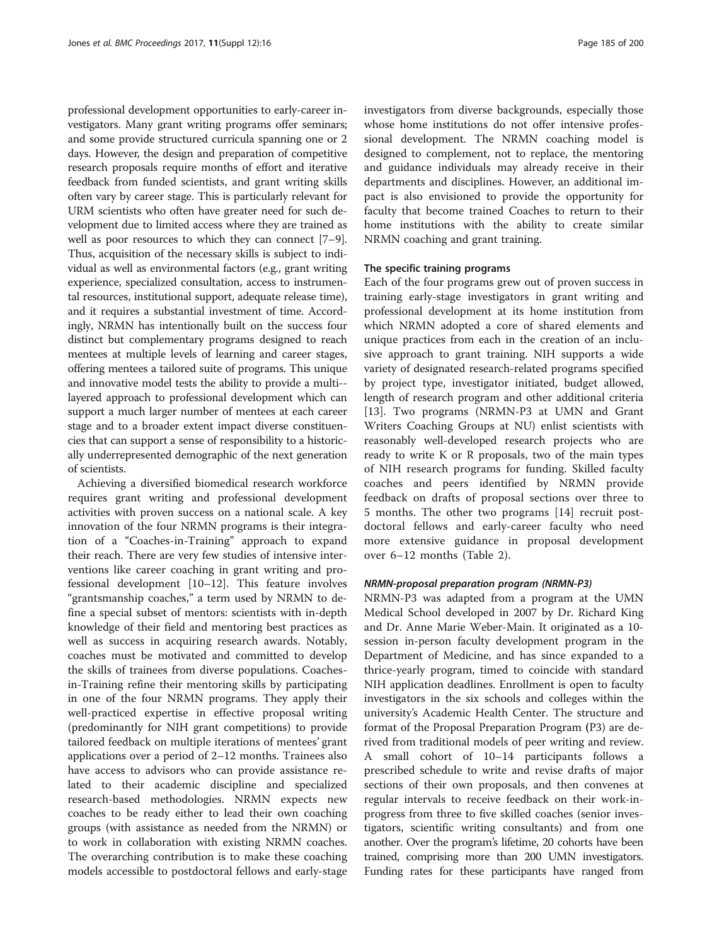professional development opportunities to early-career investigators. Many grant writing programs offer seminars; and some provide structured curricula spanning one or 2 days. However, the design and preparation of competitive research proposals require months of effort and iterative feedback from funded scientists, and grant writing skills often vary by career stage. This is particularly relevant for URM scientists who often have greater need for such development due to limited access where they are trained as well as poor resources to which they can connect [[7](#page-9-0)–[9](#page-9-0)]. Thus, acquisition of the necessary skills is subject to individual as well as environmental factors (e.g., grant writing experience, specialized consultation, access to instrumental resources, institutional support, adequate release time), and it requires a substantial investment of time. Accordingly, NRMN has intentionally built on the success four distinct but complementary programs designed to reach mentees at multiple levels of learning and career stages, offering mentees a tailored suite of programs. This unique and innovative model tests the ability to provide a multi- layered approach to professional development which can support a much larger number of mentees at each career stage and to a broader extent impact diverse constituencies that can support a sense of responsibility to a historically underrepresented demographic of the next generation of scientists.

Achieving a diversified biomedical research workforce requires grant writing and professional development activities with proven success on a national scale. A key innovation of the four NRMN programs is their integration of a "Coaches-in-Training" approach to expand their reach. There are very few studies of intensive interventions like career coaching in grant writing and professional development [[10](#page-9-0)–[12](#page-9-0)]. This feature involves "grantsmanship coaches," a term used by NRMN to define a special subset of mentors: scientists with in-depth knowledge of their field and mentoring best practices as well as success in acquiring research awards. Notably, coaches must be motivated and committed to develop the skills of trainees from diverse populations. Coachesin-Training refine their mentoring skills by participating in one of the four NRMN programs. They apply their well-practiced expertise in effective proposal writing (predominantly for NIH grant competitions) to provide tailored feedback on multiple iterations of mentees' grant applications over a period of 2–12 months. Trainees also have access to advisors who can provide assistance related to their academic discipline and specialized research-based methodologies. NRMN expects new coaches to be ready either to lead their own coaching groups (with assistance as needed from the NRMN) or to work in collaboration with existing NRMN coaches. The overarching contribution is to make these coaching models accessible to postdoctoral fellows and early-stage investigators from diverse backgrounds, especially those whose home institutions do not offer intensive professional development. The NRMN coaching model is designed to complement, not to replace, the mentoring and guidance individuals may already receive in their departments and disciplines. However, an additional impact is also envisioned to provide the opportunity for faculty that become trained Coaches to return to their home institutions with the ability to create similar NRMN coaching and grant training.

#### The specific training programs

Each of the four programs grew out of proven success in training early-stage investigators in grant writing and professional development at its home institution from which NRMN adopted a core of shared elements and unique practices from each in the creation of an inclusive approach to grant training. NIH supports a wide variety of designated research-related programs specified by project type, investigator initiated, budget allowed, length of research program and other additional criteria [[13\]](#page-9-0). Two programs (NRMN-P3 at UMN and Grant Writers Coaching Groups at NU) enlist scientists with reasonably well-developed research projects who are ready to write K or R proposals, two of the main types of NIH research programs for funding. Skilled faculty coaches and peers identified by NRMN provide feedback on drafts of proposal sections over three to 5 months. The other two programs [\[14](#page-9-0)] recruit postdoctoral fellows and early-career faculty who need more extensive guidance in proposal development over 6–12 months (Table [2\)](#page-3-0).

NRMN-P3 was adapted from a program at the UMN Medical School developed in 2007 by Dr. Richard King and Dr. Anne Marie Weber-Main. It originated as a 10 session in-person faculty development program in the Department of Medicine, and has since expanded to a thrice-yearly program, timed to coincide with standard NIH application deadlines. Enrollment is open to faculty investigators in the six schools and colleges within the university's Academic Health Center. The structure and format of the Proposal Preparation Program (P3) are derived from traditional models of peer writing and review. A small cohort of 10–14 participants follows a prescribed schedule to write and revise drafts of major sections of their own proposals, and then convenes at regular intervals to receive feedback on their work-inprogress from three to five skilled coaches (senior investigators, scientific writing consultants) and from one another. Over the program's lifetime, 20 cohorts have been trained, comprising more than 200 UMN investigators. Funding rates for these participants have ranged from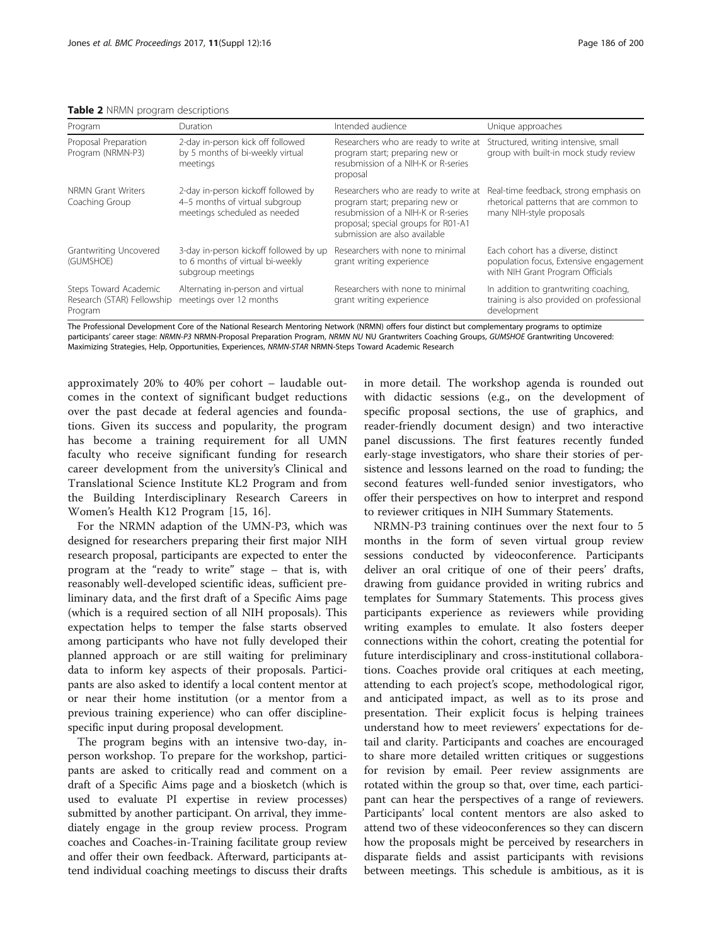<span id="page-3-0"></span>Table 2 NRMN program descriptions

| Program                                                        | <b>Duration</b>                                                                                       | Intended audience                                                                                                                                                                       | Unique approaches                                                                                                 |
|----------------------------------------------------------------|-------------------------------------------------------------------------------------------------------|-----------------------------------------------------------------------------------------------------------------------------------------------------------------------------------------|-------------------------------------------------------------------------------------------------------------------|
| Proposal Preparation<br>Program (NRMN-P3)                      | 2-day in-person kick off followed<br>by 5 months of bi-weekly virtual<br>meetings                     | Researchers who are ready to write at<br>program start; preparing new or<br>resubmission of a NIH-K or R-series<br>proposal                                                             | Structured, writing intensive, small<br>group with built-in mock study review                                     |
| <b>NRMN Grant Writers</b><br>Coaching Group                    | 2-day in-person kickoff followed by<br>4-5 months of virtual subgroup<br>meetings scheduled as needed | Researchers who are ready to write at<br>program start; preparing new or<br>resubmission of a NIH-K or R-series<br>proposal; special groups for R01-A1<br>submission are also available | Real-time feedback, strong emphasis on<br>rhetorical patterns that are common to<br>many NIH-style proposals      |
| <b>Grantwriting Uncovered</b><br>(GUMSHOE)                     | 3-day in-person kickoff followed by up<br>to 6 months of virtual bi-weekly<br>subgroup meetings       | Researchers with none to minimal<br>grant writing experience                                                                                                                            | Each cohort has a diverse, distinct<br>population focus, Extensive engagement<br>with NIH Grant Program Officials |
| Steps Toward Academic<br>Research (STAR) Fellowship<br>Program | Alternating in-person and virtual<br>meetings over 12 months                                          | Researchers with none to minimal<br>grant writing experience                                                                                                                            | In addition to grantwriting coaching,<br>training is also provided on professional<br>development                 |

The Professional Development Core of the National Research Mentoring Network (NRMN) offers four distinct but complementary programs to optimize participants' career stage: NRMN-P3 NRMN-Proposal Preparation Program, NRMN NU NU Grantwriters Coaching Groups, GUMSHOE Grantwriting Uncovered: Maximizing Strategies, Help, Opportunities, Experiences, NRMN-STAR NRMN-Steps Toward Academic Research

approximately 20% to 40% per cohort – laudable outcomes in the context of significant budget reductions over the past decade at federal agencies and foundations. Given its success and popularity, the program has become a training requirement for all UMN faculty who receive significant funding for research career development from the university's Clinical and Translational Science Institute KL2 Program and from the Building Interdisciplinary Research Careers in Women's Health K12 Program [[15, 16](#page-9-0)].

For the NRMN adaption of the UMN-P3, which was designed for researchers preparing their first major NIH research proposal, participants are expected to enter the program at the "ready to write" stage – that is, with reasonably well-developed scientific ideas, sufficient preliminary data, and the first draft of a Specific Aims page (which is a required section of all NIH proposals). This expectation helps to temper the false starts observed among participants who have not fully developed their planned approach or are still waiting for preliminary data to inform key aspects of their proposals. Participants are also asked to identify a local content mentor at or near their home institution (or a mentor from a previous training experience) who can offer disciplinespecific input during proposal development.

The program begins with an intensive two-day, inperson workshop. To prepare for the workshop, participants are asked to critically read and comment on a draft of a Specific Aims page and a biosketch (which is used to evaluate PI expertise in review processes) submitted by another participant. On arrival, they immediately engage in the group review process. Program coaches and Coaches-in-Training facilitate group review and offer their own feedback. Afterward, participants attend individual coaching meetings to discuss their drafts in more detail. The workshop agenda is rounded out with didactic sessions (e.g., on the development of specific proposal sections, the use of graphics, and reader-friendly document design) and two interactive panel discussions. The first features recently funded early-stage investigators, who share their stories of persistence and lessons learned on the road to funding; the second features well-funded senior investigators, who offer their perspectives on how to interpret and respond to reviewer critiques in NIH Summary Statements.

NRMN-P3 training continues over the next four to 5 months in the form of seven virtual group review sessions conducted by videoconference. Participants deliver an oral critique of one of their peers' drafts, drawing from guidance provided in writing rubrics and templates for Summary Statements. This process gives participants experience as reviewers while providing writing examples to emulate. It also fosters deeper connections within the cohort, creating the potential for future interdisciplinary and cross-institutional collaborations. Coaches provide oral critiques at each meeting, attending to each project's scope, methodological rigor, and anticipated impact, as well as to its prose and presentation. Their explicit focus is helping trainees understand how to meet reviewers' expectations for detail and clarity. Participants and coaches are encouraged to share more detailed written critiques or suggestions for revision by email. Peer review assignments are rotated within the group so that, over time, each participant can hear the perspectives of a range of reviewers. Participants' local content mentors are also asked to attend two of these videoconferences so they can discern how the proposals might be perceived by researchers in disparate fields and assist participants with revisions between meetings. This schedule is ambitious, as it is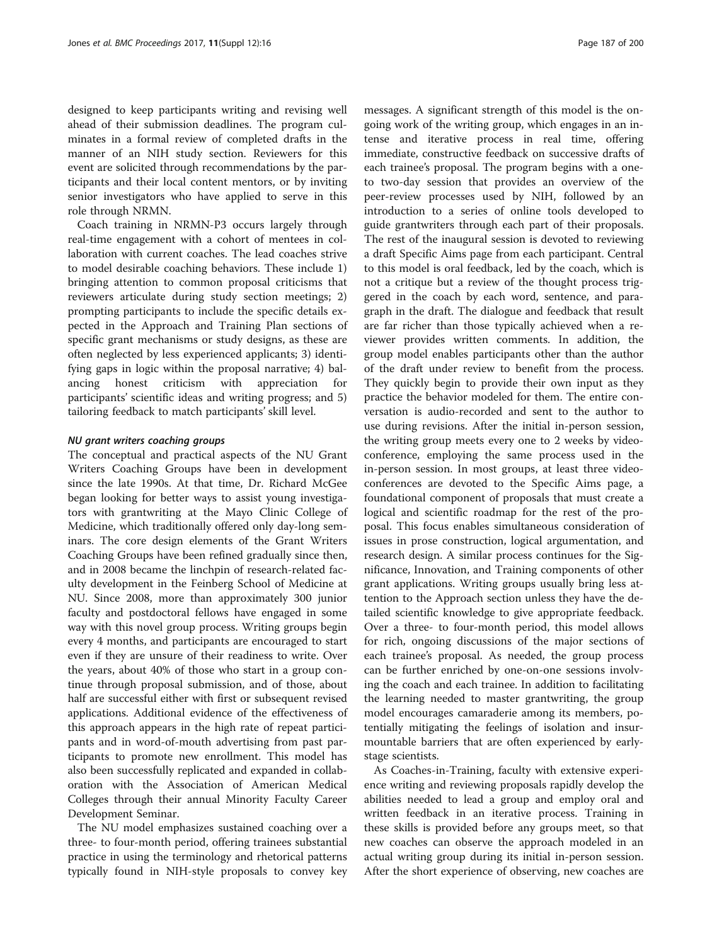designed to keep participants writing and revising well ahead of their submission deadlines. The program culminates in a formal review of completed drafts in the manner of an NIH study section. Reviewers for this event are solicited through recommendations by the participants and their local content mentors, or by inviting senior investigators who have applied to serve in this role through NRMN.

Coach training in NRMN-P3 occurs largely through real-time engagement with a cohort of mentees in collaboration with current coaches. The lead coaches strive to model desirable coaching behaviors. These include 1) bringing attention to common proposal criticisms that reviewers articulate during study section meetings; 2) prompting participants to include the specific details expected in the Approach and Training Plan sections of specific grant mechanisms or study designs, as these are often neglected by less experienced applicants; 3) identifying gaps in logic within the proposal narrative; 4) balancing honest criticism with appreciation for participants' scientific ideas and writing progress; and 5) tailoring feedback to match participants' skill level.

The conceptual and practical aspects of the NU Grant Writers Coaching Groups have been in development since the late 1990s. At that time, Dr. Richard McGee began looking for better ways to assist young investigators with grantwriting at the Mayo Clinic College of Medicine, which traditionally offered only day-long seminars. The core design elements of the Grant Writers Coaching Groups have been refined gradually since then, and in 2008 became the linchpin of research-related faculty development in the Feinberg School of Medicine at NU. Since 2008, more than approximately 300 junior faculty and postdoctoral fellows have engaged in some way with this novel group process. Writing groups begin every 4 months, and participants are encouraged to start even if they are unsure of their readiness to write. Over the years, about 40% of those who start in a group continue through proposal submission, and of those, about half are successful either with first or subsequent revised applications. Additional evidence of the effectiveness of this approach appears in the high rate of repeat participants and in word-of-mouth advertising from past participants to promote new enrollment. This model has also been successfully replicated and expanded in collaboration with the Association of American Medical Colleges through their annual Minority Faculty Career Development Seminar.

The NU model emphasizes sustained coaching over a three- to four-month period, offering trainees substantial practice in using the terminology and rhetorical patterns typically found in NIH-style proposals to convey key messages. A significant strength of this model is the ongoing work of the writing group, which engages in an intense and iterative process in real time, offering immediate, constructive feedback on successive drafts of each trainee's proposal. The program begins with a oneto two-day session that provides an overview of the peer-review processes used by NIH, followed by an introduction to a series of online tools developed to guide grantwriters through each part of their proposals. The rest of the inaugural session is devoted to reviewing a draft Specific Aims page from each participant. Central to this model is oral feedback, led by the coach, which is not a critique but a review of the thought process triggered in the coach by each word, sentence, and paragraph in the draft. The dialogue and feedback that result are far richer than those typically achieved when a reviewer provides written comments. In addition, the group model enables participants other than the author of the draft under review to benefit from the process. They quickly begin to provide their own input as they practice the behavior modeled for them. The entire conversation is audio-recorded and sent to the author to use during revisions. After the initial in-person session, the writing group meets every one to 2 weeks by videoconference, employing the same process used in the in-person session. In most groups, at least three videoconferences are devoted to the Specific Aims page, a foundational component of proposals that must create a logical and scientific roadmap for the rest of the proposal. This focus enables simultaneous consideration of issues in prose construction, logical argumentation, and research design. A similar process continues for the Significance, Innovation, and Training components of other grant applications. Writing groups usually bring less attention to the Approach section unless they have the detailed scientific knowledge to give appropriate feedback. Over a three- to four-month period, this model allows for rich, ongoing discussions of the major sections of each trainee's proposal. As needed, the group process can be further enriched by one-on-one sessions involving the coach and each trainee. In addition to facilitating the learning needed to master grantwriting, the group model encourages camaraderie among its members, potentially mitigating the feelings of isolation and insurmountable barriers that are often experienced by earlystage scientists.

As Coaches-in-Training, faculty with extensive experience writing and reviewing proposals rapidly develop the abilities needed to lead a group and employ oral and written feedback in an iterative process. Training in these skills is provided before any groups meet, so that new coaches can observe the approach modeled in an actual writing group during its initial in-person session. After the short experience of observing, new coaches are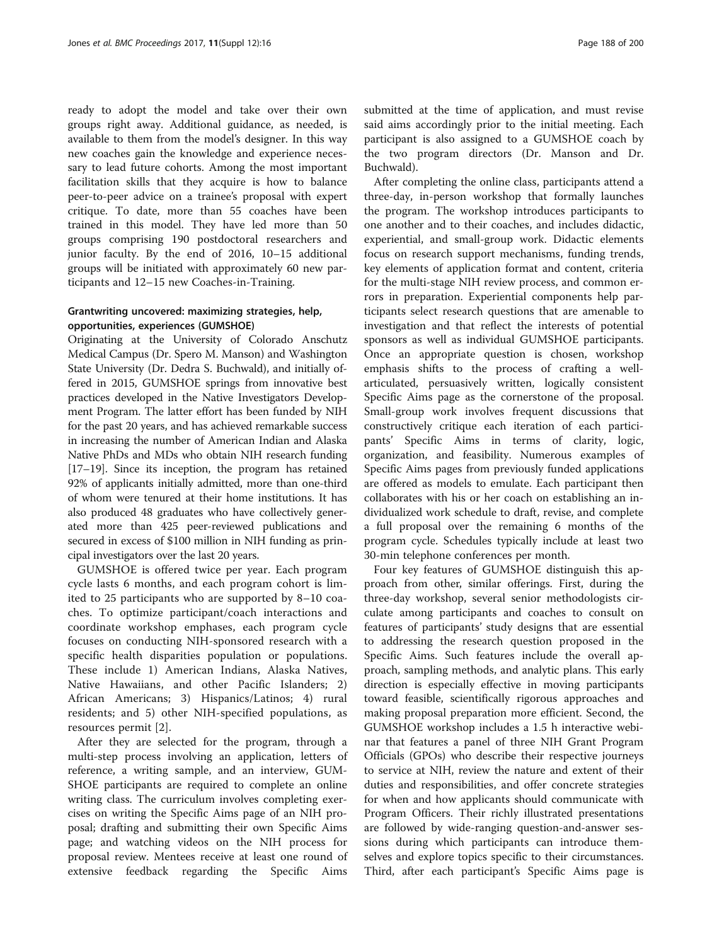ready to adopt the model and take over their own groups right away. Additional guidance, as needed, is available to them from the model's designer. In this way new coaches gain the knowledge and experience necessary to lead future cohorts. Among the most important facilitation skills that they acquire is how to balance peer-to-peer advice on a trainee's proposal with expert critique. To date, more than 55 coaches have been trained in this model. They have led more than 50 groups comprising 190 postdoctoral researchers and junior faculty. By the end of 2016, 10–15 additional groups will be initiated with approximately 60 new participants and 12–15 new Coaches-in-Training.

# Grantwriting uncovered: maximizing strategies, help, opportunities, experiences (GUMSHOE)

Originating at the University of Colorado Anschutz Medical Campus (Dr. Spero M. Manson) and Washington State University (Dr. Dedra S. Buchwald), and initially offered in 2015, GUMSHOE springs from innovative best practices developed in the Native Investigators Development Program. The latter effort has been funded by NIH for the past 20 years, and has achieved remarkable success in increasing the number of American Indian and Alaska Native PhDs and MDs who obtain NIH research funding [[17](#page-9-0)–[19\]](#page-9-0). Since its inception, the program has retained 92% of applicants initially admitted, more than one-third of whom were tenured at their home institutions. It has also produced 48 graduates who have collectively generated more than 425 peer-reviewed publications and secured in excess of \$100 million in NIH funding as principal investigators over the last 20 years.

GUMSHOE is offered twice per year. Each program cycle lasts 6 months, and each program cohort is limited to 25 participants who are supported by 8–10 coaches. To optimize participant/coach interactions and coordinate workshop emphases, each program cycle focuses on conducting NIH-sponsored research with a specific health disparities population or populations. These include 1) American Indians, Alaska Natives, Native Hawaiians, and other Pacific Islanders; 2) African Americans; 3) Hispanics/Latinos; 4) rural residents; and 5) other NIH-specified populations, as resources permit [[2\]](#page-9-0).

After they are selected for the program, through a multi-step process involving an application, letters of reference, a writing sample, and an interview, GUM-SHOE participants are required to complete an online writing class. The curriculum involves completing exercises on writing the Specific Aims page of an NIH proposal; drafting and submitting their own Specific Aims page; and watching videos on the NIH process for proposal review. Mentees receive at least one round of extensive feedback regarding the Specific Aims submitted at the time of application, and must revise said aims accordingly prior to the initial meeting. Each participant is also assigned to a GUMSHOE coach by the two program directors (Dr. Manson and Dr. Buchwald).

After completing the online class, participants attend a three-day, in-person workshop that formally launches the program. The workshop introduces participants to one another and to their coaches, and includes didactic, experiential, and small-group work. Didactic elements focus on research support mechanisms, funding trends, key elements of application format and content, criteria for the multi-stage NIH review process, and common errors in preparation. Experiential components help participants select research questions that are amenable to investigation and that reflect the interests of potential sponsors as well as individual GUMSHOE participants. Once an appropriate question is chosen, workshop emphasis shifts to the process of crafting a wellarticulated, persuasively written, logically consistent Specific Aims page as the cornerstone of the proposal. Small-group work involves frequent discussions that constructively critique each iteration of each participants' Specific Aims in terms of clarity, logic, organization, and feasibility. Numerous examples of Specific Aims pages from previously funded applications are offered as models to emulate. Each participant then collaborates with his or her coach on establishing an individualized work schedule to draft, revise, and complete a full proposal over the remaining 6 months of the program cycle. Schedules typically include at least two 30-min telephone conferences per month.

Four key features of GUMSHOE distinguish this approach from other, similar offerings. First, during the three-day workshop, several senior methodologists circulate among participants and coaches to consult on features of participants' study designs that are essential to addressing the research question proposed in the Specific Aims. Such features include the overall approach, sampling methods, and analytic plans. This early direction is especially effective in moving participants toward feasible, scientifically rigorous approaches and making proposal preparation more efficient. Second, the GUMSHOE workshop includes a 1.5 h interactive webinar that features a panel of three NIH Grant Program Officials (GPOs) who describe their respective journeys to service at NIH, review the nature and extent of their duties and responsibilities, and offer concrete strategies for when and how applicants should communicate with Program Officers. Their richly illustrated presentations are followed by wide-ranging question-and-answer sessions during which participants can introduce themselves and explore topics specific to their circumstances. Third, after each participant's Specific Aims page is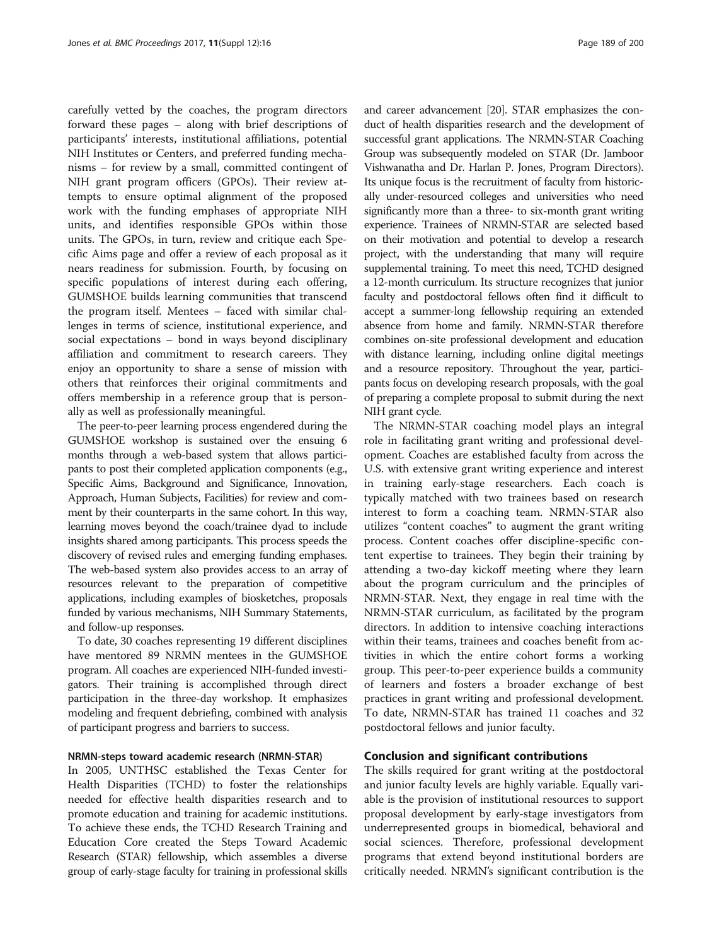carefully vetted by the coaches, the program directors forward these pages – along with brief descriptions of participants' interests, institutional affiliations, potential NIH Institutes or Centers, and preferred funding mechanisms – for review by a small, committed contingent of NIH grant program officers (GPOs). Their review attempts to ensure optimal alignment of the proposed work with the funding emphases of appropriate NIH units, and identifies responsible GPOs within those units. The GPOs, in turn, review and critique each Specific Aims page and offer a review of each proposal as it nears readiness for submission. Fourth, by focusing on specific populations of interest during each offering, GUMSHOE builds learning communities that transcend the program itself. Mentees – faced with similar challenges in terms of science, institutional experience, and social expectations – bond in ways beyond disciplinary affiliation and commitment to research careers. They enjoy an opportunity to share a sense of mission with others that reinforces their original commitments and offers membership in a reference group that is personally as well as professionally meaningful.

The peer-to-peer learning process engendered during the GUMSHOE workshop is sustained over the ensuing 6 months through a web-based system that allows participants to post their completed application components (e.g., Specific Aims, Background and Significance, Innovation, Approach, Human Subjects, Facilities) for review and comment by their counterparts in the same cohort. In this way, learning moves beyond the coach/trainee dyad to include insights shared among participants. This process speeds the discovery of revised rules and emerging funding emphases. The web-based system also provides access to an array of resources relevant to the preparation of competitive applications, including examples of biosketches, proposals funded by various mechanisms, NIH Summary Statements, and follow-up responses.

To date, 30 coaches representing 19 different disciplines have mentored 89 NRMN mentees in the GUMSHOE program. All coaches are experienced NIH-funded investigators. Their training is accomplished through direct participation in the three-day workshop. It emphasizes modeling and frequent debriefing, combined with analysis of participant progress and barriers to success.

## NRMN-steps toward academic research (NRMN-STAR)

In 2005, UNTHSC established the Texas Center for Health Disparities (TCHD) to foster the relationships needed for effective health disparities research and to promote education and training for academic institutions. To achieve these ends, the TCHD Research Training and Education Core created the Steps Toward Academic Research (STAR) fellowship, which assembles a diverse group of early-stage faculty for training in professional skills and career advancement [\[20](#page-9-0)]. STAR emphasizes the conduct of health disparities research and the development of successful grant applications. The NRMN-STAR Coaching Group was subsequently modeled on STAR (Dr. Jamboor Vishwanatha and Dr. Harlan P. Jones, Program Directors). Its unique focus is the recruitment of faculty from historically under-resourced colleges and universities who need significantly more than a three- to six-month grant writing experience. Trainees of NRMN-STAR are selected based on their motivation and potential to develop a research project, with the understanding that many will require supplemental training. To meet this need, TCHD designed a 12-month curriculum. Its structure recognizes that junior faculty and postdoctoral fellows often find it difficult to accept a summer-long fellowship requiring an extended absence from home and family. NRMN-STAR therefore combines on-site professional development and education with distance learning, including online digital meetings and a resource repository. Throughout the year, participants focus on developing research proposals, with the goal of preparing a complete proposal to submit during the next NIH grant cycle.

The NRMN-STAR coaching model plays an integral role in facilitating grant writing and professional development. Coaches are established faculty from across the U.S. with extensive grant writing experience and interest in training early-stage researchers. Each coach is typically matched with two trainees based on research interest to form a coaching team. NRMN-STAR also utilizes "content coaches" to augment the grant writing process. Content coaches offer discipline-specific content expertise to trainees. They begin their training by attending a two-day kickoff meeting where they learn about the program curriculum and the principles of NRMN-STAR. Next, they engage in real time with the NRMN-STAR curriculum, as facilitated by the program directors. In addition to intensive coaching interactions within their teams, trainees and coaches benefit from activities in which the entire cohort forms a working group. This peer-to-peer experience builds a community of learners and fosters a broader exchange of best practices in grant writing and professional development. To date, NRMN-STAR has trained 11 coaches and 32 postdoctoral fellows and junior faculty.

## Conclusion and significant contributions

The skills required for grant writing at the postdoctoral and junior faculty levels are highly variable. Equally variable is the provision of institutional resources to support proposal development by early-stage investigators from underrepresented groups in biomedical, behavioral and social sciences. Therefore, professional development programs that extend beyond institutional borders are critically needed. NRMN's significant contribution is the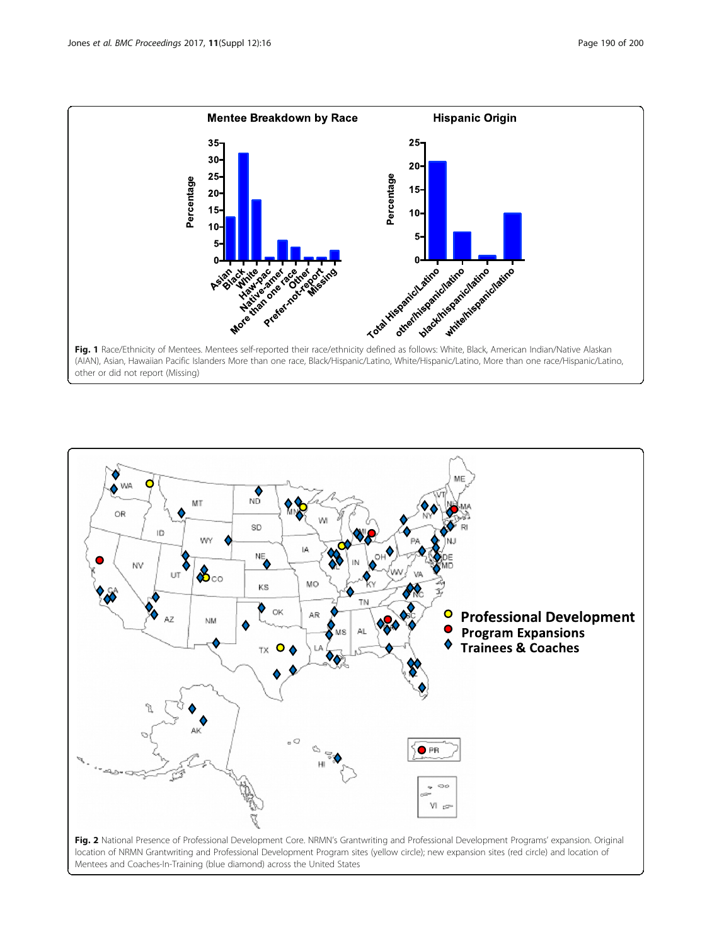<span id="page-7-0"></span>

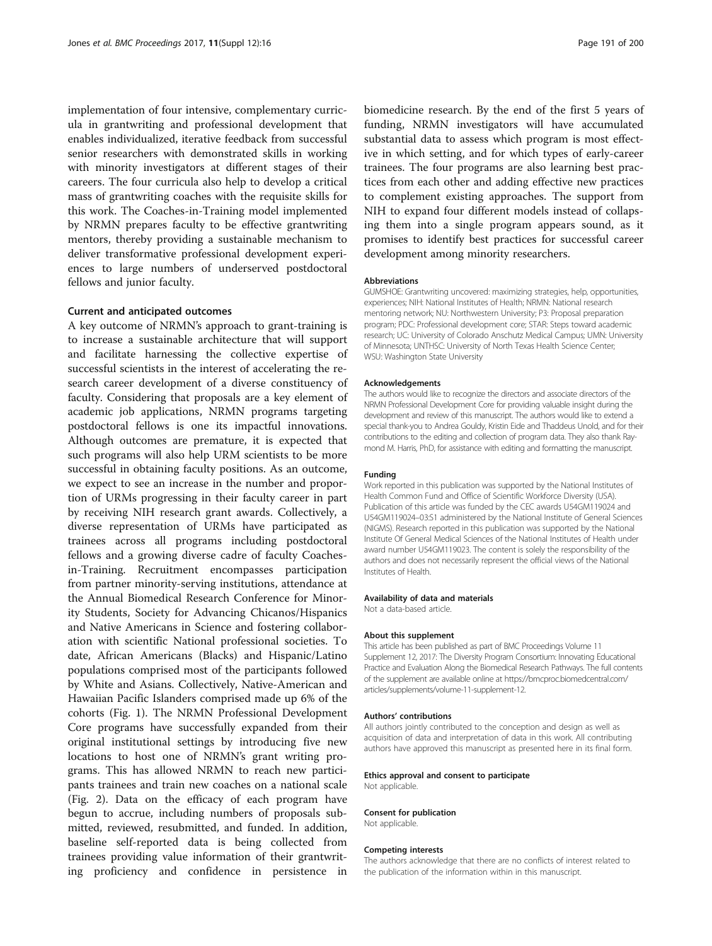implementation of four intensive, complementary curricula in grantwriting and professional development that enables individualized, iterative feedback from successful senior researchers with demonstrated skills in working with minority investigators at different stages of their careers. The four curricula also help to develop a critical mass of grantwriting coaches with the requisite skills for this work. The Coaches-in-Training model implemented by NRMN prepares faculty to be effective grantwriting mentors, thereby providing a sustainable mechanism to deliver transformative professional development experiences to large numbers of underserved postdoctoral fellows and junior faculty.

#### Current and anticipated outcomes

A key outcome of NRMN's approach to grant-training is to increase a sustainable architecture that will support and facilitate harnessing the collective expertise of successful scientists in the interest of accelerating the research career development of a diverse constituency of faculty. Considering that proposals are a key element of academic job applications, NRMN programs targeting postdoctoral fellows is one its impactful innovations. Although outcomes are premature, it is expected that such programs will also help URM scientists to be more successful in obtaining faculty positions. As an outcome, we expect to see an increase in the number and proportion of URMs progressing in their faculty career in part by receiving NIH research grant awards. Collectively, a diverse representation of URMs have participated as trainees across all programs including postdoctoral fellows and a growing diverse cadre of faculty Coachesin-Training. Recruitment encompasses participation from partner minority-serving institutions, attendance at the Annual Biomedical Research Conference for Minority Students, Society for Advancing Chicanos/Hispanics and Native Americans in Science and fostering collaboration with scientific National professional societies. To date, African Americans (Blacks) and Hispanic/Latino populations comprised most of the participants followed by White and Asians. Collectively, Native-American and Hawaiian Pacific Islanders comprised made up 6% of the cohorts (Fig. [1](#page-7-0)). The NRMN Professional Development Core programs have successfully expanded from their original institutional settings by introducing five new locations to host one of NRMN's grant writing programs. This has allowed NRMN to reach new participants trainees and train new coaches on a national scale (Fig. [2](#page-7-0)). Data on the efficacy of each program have begun to accrue, including numbers of proposals submitted, reviewed, resubmitted, and funded. In addition, baseline self-reported data is being collected from trainees providing value information of their grantwriting proficiency and confidence in persistence in

biomedicine research. By the end of the first 5 years of funding, NRMN investigators will have accumulated substantial data to assess which program is most effective in which setting, and for which types of early-career trainees. The four programs are also learning best practices from each other and adding effective new practices to complement existing approaches. The support from NIH to expand four different models instead of collapsing them into a single program appears sound, as it promises to identify best practices for successful career development among minority researchers.

#### Abbreviations

GUMSHOE: Grantwriting uncovered: maximizing strategies, help, opportunities, experiences; NIH: National Institutes of Health; NRMN: National research mentoring network; NU: Northwestern University; P3: Proposal preparation program; PDC: Professional development core; STAR: Steps toward academic research; UC: University of Colorado Anschutz Medical Campus; UMN: University of Minnesota; UNTHSC: University of North Texas Health Science Center; WSU: Washington State University

#### Acknowledgements

The authors would like to recognize the directors and associate directors of the NRMN Professional Development Core for providing valuable insight during the development and review of this manuscript. The authors would like to extend a special thank-you to Andrea Gouldy, Kristin Eide and Thaddeus Unold, and for their contributions to the editing and collection of program data. They also thank Raymond M. Harris, PhD, for assistance with editing and formatting the manuscript.

#### Funding

Work reported in this publication was supported by the National Institutes of Health Common Fund and Office of Scientific Workforce Diversity (USA). Publication of this article was funded by the CEC awards U54GM119024 and U54GM119024–03:S1 administered by the National Institute of General Sciences (NIGMS). Research reported in this publication was supported by the National Institute Of General Medical Sciences of the National Institutes of Health under award number U54GM119023. The content is solely the responsibility of the authors and does not necessarily represent the official views of the National Institutes of Health.

#### Availability of data and materials

Not a data-based article.

#### About this supplement

This article has been published as part of BMC Proceedings Volume 11 Supplement 12, 2017: The Diversity Program Consortium: Innovating Educational Practice and Evaluation Along the Biomedical Research Pathways. The full contents of the supplement are available online at [https://bmcproc.biomedcentral.com/](https://bmcproc.biomedcentral.com/articles/supplements/volume-11-supplement-12) [articles/supplements/volume-11-supplement-12.](https://bmcproc.biomedcentral.com/articles/supplements/volume-11-supplement-12)

#### Authors' contributions

All authors jointly contributed to the conception and design as well as acquisition of data and interpretation of data in this work. All contributing authors have approved this manuscript as presented here in its final form.

#### Ethics approval and consent to participate

Not applicable.

#### Consent for publication

Not applicable.

#### Competing interests

The authors acknowledge that there are no conflicts of interest related to the publication of the information within in this manuscript.